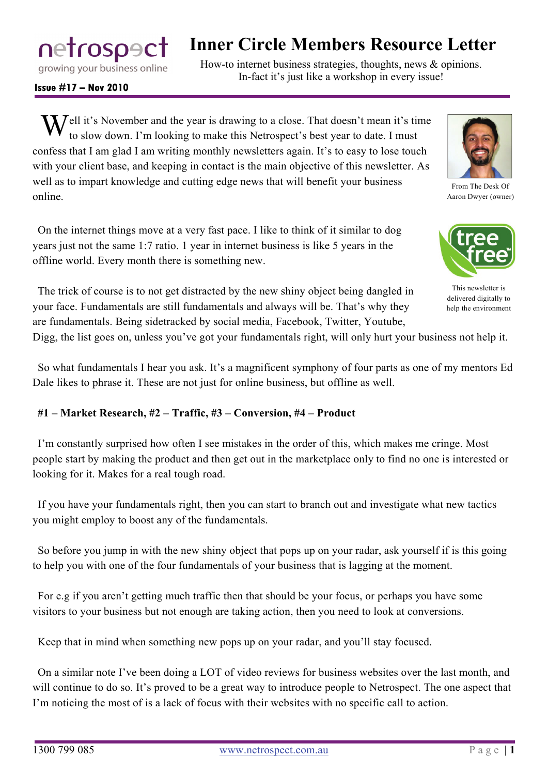netrospact growing your business online

# **Inner Circle Members Resource Letter**

How-to internet business strategies, thoughts, news & opinions. In-fact it's just like a workshop in every issue!

**Issue #17 – Nov 2010**

 $\mathbf{W}$ ell it's November and the year is drawing to a close. That doesn't mean it's time to slow down. I'm looking to make this Netrospect's best year to date. I must to slow down. I'm looking to make this Netrospect's best year to date. I must confess that I am glad I am writing monthly newsletters again. It's to easy to lose touch with your client base, and keeping in contact is the main objective of this newsletter. As well as to impart knowledge and cutting edge news that will benefit your business online.

On the internet things move at a very fast pace. I like to think of it similar to dog years just not the same 1:7 ratio. 1 year in internet business is like 5 years in the offline world. Every month there is something new.

The trick of course is to not get distracted by the new shiny object being dangled in your face. Fundamentals are still fundamentals and always will be. That's why they are fundamentals. Being sidetracked by social media, Facebook, Twitter, Youtube,

Digg, the list goes on, unless you've got your fundamentals right, will only hurt your business not help it.

So what fundamentals I hear you ask. It's a magnificent symphony of four parts as one of my mentors Ed Dale likes to phrase it. These are not just for online business, but offline as well.

#### **#1 – Market Research, #2 – Traffic, #3 – Conversion, #4 – Product**

I'm constantly surprised how often I see mistakes in the order of this, which makes me cringe. Most people start by making the product and then get out in the marketplace only to find no one is interested or looking for it. Makes for a real tough road.

If you have your fundamentals right, then you can start to branch out and investigate what new tactics you might employ to boost any of the fundamentals.

So before you jump in with the new shiny object that pops up on your radar, ask yourself if is this going to help you with one of the four fundamentals of your business that is lagging at the moment.

For e.g if you aren't getting much traffic then that should be your focus, or perhaps you have some visitors to your business but not enough are taking action, then you need to look at conversions.

Keep that in mind when something new pops up on your radar, and you'll stay focused.

On a similar note I've been doing a LOT of video reviews for business websites over the last month, and will continue to do so. It's proved to be a great way to introduce people to Netrospect. The one aspect that I'm noticing the most of is a lack of focus with their websites with no specific call to action.



From The Desk Of Aaron Dwyer (owner)



This newsletter is delivered digitally to help the environment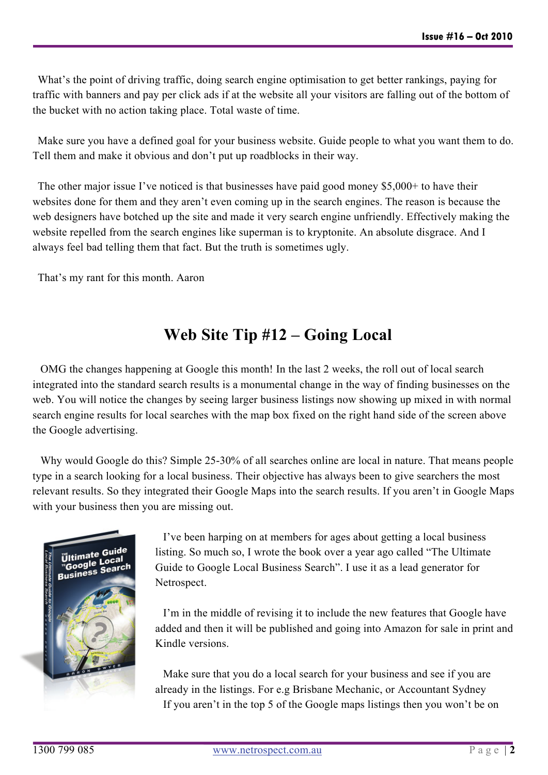What's the point of driving traffic, doing search engine optimisation to get better rankings, paying for traffic with banners and pay per click ads if at the website all your visitors are falling out of the bottom of the bucket with no action taking place. Total waste of time.

Make sure you have a defined goal for your business website. Guide people to what you want them to do. Tell them and make it obvious and don't put up roadblocks in their way.

The other major issue I've noticed is that businesses have paid good money \$5,000+ to have their websites done for them and they aren't even coming up in the search engines. The reason is because the web designers have botched up the site and made it very search engine unfriendly. Effectively making the website repelled from the search engines like superman is to kryptonite. An absolute disgrace. And I always feel bad telling them that fact. But the truth is sometimes ugly.

That's my rant for this month. Aaron

# **Web Site Tip #12 – Going Local**

OMG the changes happening at Google this month! In the last 2 weeks, the roll out of local search integrated into the standard search results is a monumental change in the way of finding businesses on the web. You will notice the changes by seeing larger business listings now showing up mixed in with normal search engine results for local searches with the map box fixed on the right hand side of the screen above the Google advertising.

Why would Google do this? Simple 25-30% of all searches online are local in nature. That means people type in a search looking for a local business. Their objective has always been to give searchers the most relevant results. So they integrated their Google Maps into the search results. If you aren't in Google Maps with your business then you are missing out.



I've been harping on at members for ages about getting a local business listing. So much so, I wrote the book over a year ago called "The Ultimate Guide to Google Local Business Search". I use it as a lead generator for Netrospect.

I'm in the middle of revising it to include the new features that Google have added and then it will be published and going into Amazon for sale in print and Kindle versions.

Make sure that you do a local search for your business and see if you are already in the listings. For e.g Brisbane Mechanic, or Accountant Sydney If you aren't in the top 5 of the Google maps listings then you won't be on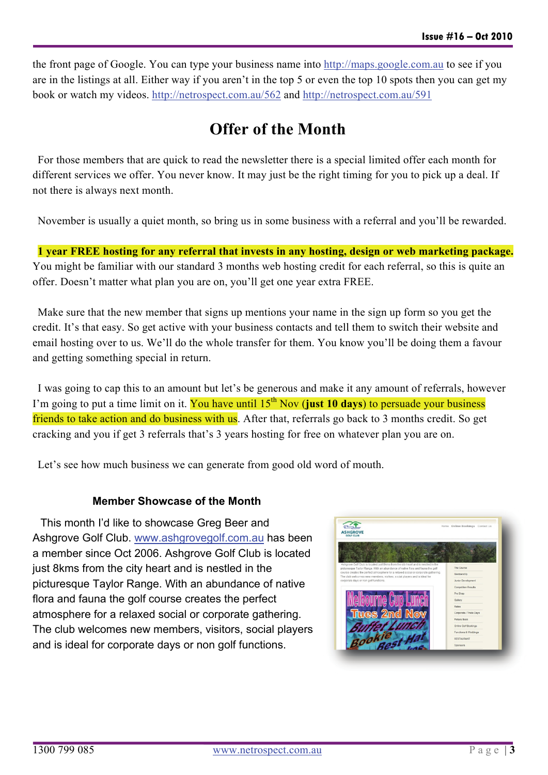the front page of Google. You can type your business name into [http://maps.google.com.au](http://maps.google.com.au/) to see if you are in the listings at all. Either way if you aren't in the top 5 or even the top 10 spots then you can get my book or watch my videos.<http://netrospect.com.au/562> and<http://netrospect.com.au/591>

# **Offer of the Month**

For those members that are quick to read the newsletter there is a special limited offer each month for different services we offer. You never know. It may just be the right timing for you to pick up a deal. If not there is always next month.

November is usually a quiet month, so bring us in some business with a referral and you'll be rewarded.

**1 year FREE hosting for any referral that invests in any hosting, design or web marketing package.**  You might be familiar with our standard 3 months web hosting credit for each referral, so this is quite an offer. Doesn't matter what plan you are on, you'll get one year extra FREE.

Make sure that the new member that signs up mentions your name in the sign up form so you get the credit. It's that easy. So get active with your business contacts and tell them to switch their website and email hosting over to us. We'll do the whole transfer for them. You know you'll be doing them a favour and getting something special in return.

I was going to cap this to an amount but let's be generous and make it any amount of referrals, however I'm going to put a time limit on it. You have until 15<sup>th</sup> Nov (just 10 days) to persuade your business friends to take action and do business with us. After that, referrals go back to 3 months credit. So get cracking and you if get 3 referrals that's 3 years hosting for free on whatever plan you are on.

Let's see how much business we can generate from good old word of mouth.

#### **Member Showcase of the Month**

This month I'd like to showcase Greg Beer and Ashgrove Golf Club. [www.ashgrovegolf.com.au](http://www.ashgrovegolf.com.au/) has been a member since Oct 2006. Ashgrove Golf Club is locate d just 8kms from the city heart and is nestled in the picturesque Taylor Range. With an abundance of native flora and fauna the golf course creates the perfect atmosphere for a relaxed social or corporate gathering. The club welcomes new members, visitors, social p layers and is ideal for corporate days or non golf functions .